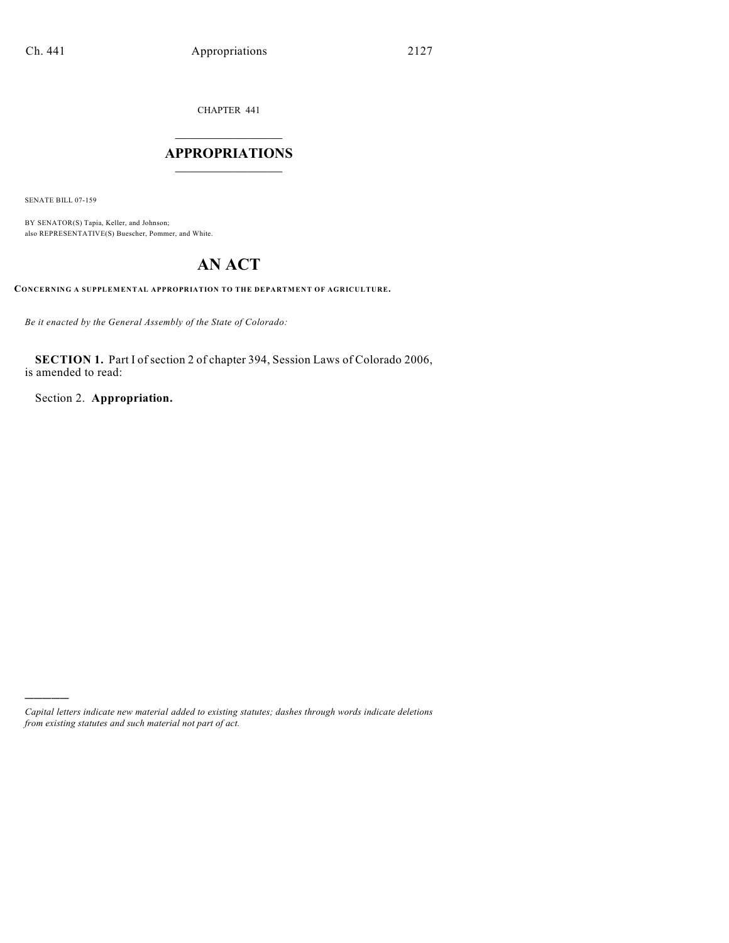CHAPTER 441

# $\overline{\phantom{a}}$  . The set of the set of the set of the set of the set of the set of the set of the set of the set of the set of the set of the set of the set of the set of the set of the set of the set of the set of the set o **APPROPRIATIONS**  $\_$   $\_$   $\_$   $\_$   $\_$   $\_$   $\_$   $\_$

SENATE BILL 07-159

)))))

BY SENATOR(S) Tapia, Keller, and Johnson; also REPRESENTATIVE(S) Buescher, Pommer, and White.

# **AN ACT**

**CONCERNING A SUPPLEMENTAL APPROPRIATION TO THE DEPARTMENT OF AGRICULTURE.**

*Be it enacted by the General Assembly of the State of Colorado:*

**SECTION 1.** Part I of section 2 of chapter 394, Session Laws of Colorado 2006, is amended to read:

Section 2. **Appropriation.**

*Capital letters indicate new material added to existing statutes; dashes through words indicate deletions from existing statutes and such material not part of act.*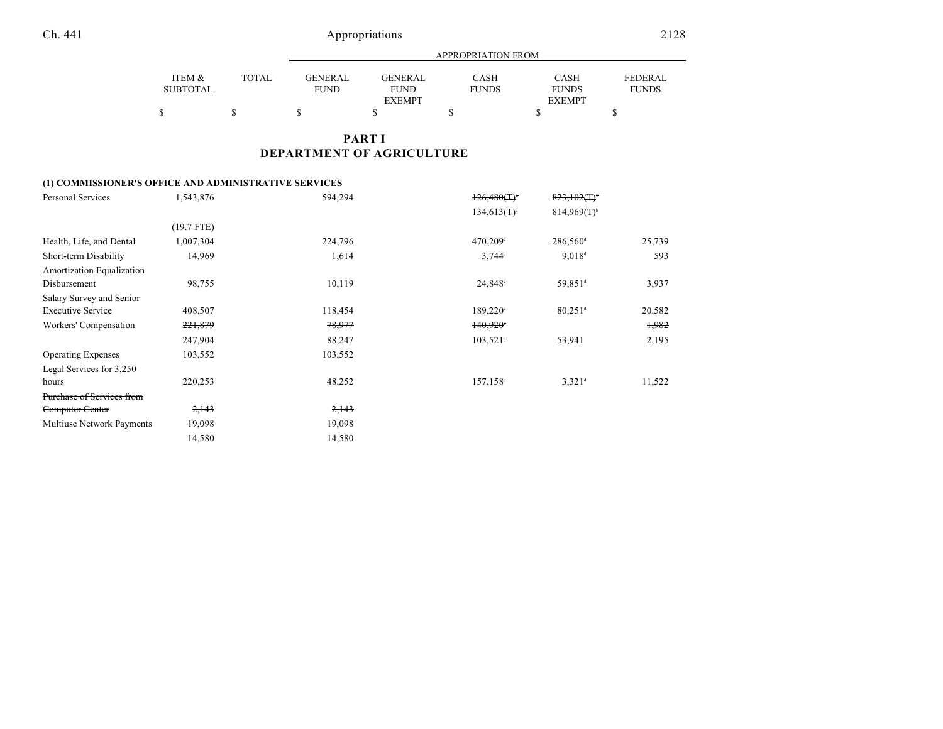|                    |              |                               | APPROPRIATION FROM            |                      |                             |                                |  |  |
|--------------------|--------------|-------------------------------|-------------------------------|----------------------|-----------------------------|--------------------------------|--|--|
| ITEM &<br>SUBTOTAL | <b>TOTAL</b> | <b>GENERAL</b><br><b>FUND</b> | <b>GENERAL</b><br><b>FUND</b> | CASH<br><b>FUNDS</b> | <b>CASH</b><br><b>FUNDS</b> | <b>FEDERAL</b><br><b>FUNDS</b> |  |  |
|                    |              |                               | <b>EXEMPT</b>                 |                      | <b>EXEMPT</b>               |                                |  |  |
| \$                 |              |                               |                               |                      |                             |                                |  |  |

# **PART I DEPARTMENT OF AGRICULTURE**

### **(1) COMMISSIONER'S OFFICE AND ADMINISTRATIVE SERVICES**

| Personal Services         | 1,543,876        | 594,294 | $126,480($ T) <sup>*</sup> | $823,102($ T) <sup>+</sup> |        |
|---------------------------|------------------|---------|----------------------------|----------------------------|--------|
|                           |                  |         | $134,613(T)^{a}$           | $814,969(T)^{b}$           |        |
|                           | $(19.7$ FTE)     |         |                            |                            |        |
| Health, Life, and Dental  | 1,007,304        | 224,796 | 470,209°                   | 286,560 <sup>d</sup>       | 25,739 |
| Short-term Disability     | 14,969           | 1,614   | $3,744^{\circ}$            | 9.018 <sup>d</sup>         | 593    |
| Amortization Equalization |                  |         |                            |                            |        |
| Disbursement              | 98,755           | 10,119  | $24,848^{\circ}$           | 59,851 <sup>d</sup>        | 3,937  |
| Salary Survey and Senior  |                  |         |                            |                            |        |
| <b>Executive Service</b>  | 408,507          | 118,454 | $189,220^{\circ}$          | $80,251$ <sup>d</sup>      | 20,582 |
| Workers' Compensation     | 221,879          | 78,977  | $140,920$ °                |                            | 1,982  |
|                           | 247,904          | 88,247  | $103,521^{\circ}$          | 53,941                     | 2,195  |
| <b>Operating Expenses</b> | 103,552          | 103,552 |                            |                            |        |
| Legal Services for 3,250  |                  |         |                            |                            |        |
| hours                     | 220,253          | 48,252  | $157, 158$ °               | $3,321$ <sup>d</sup>       | 11,522 |
| Purchase of Services from |                  |         |                            |                            |        |
| Computer Center           | <del>2,143</del> | 2,143   |                            |                            |        |
| Multiuse Network Payments | 19,098           | 19,098  |                            |                            |        |
|                           | 14,580           | 14,580  |                            |                            |        |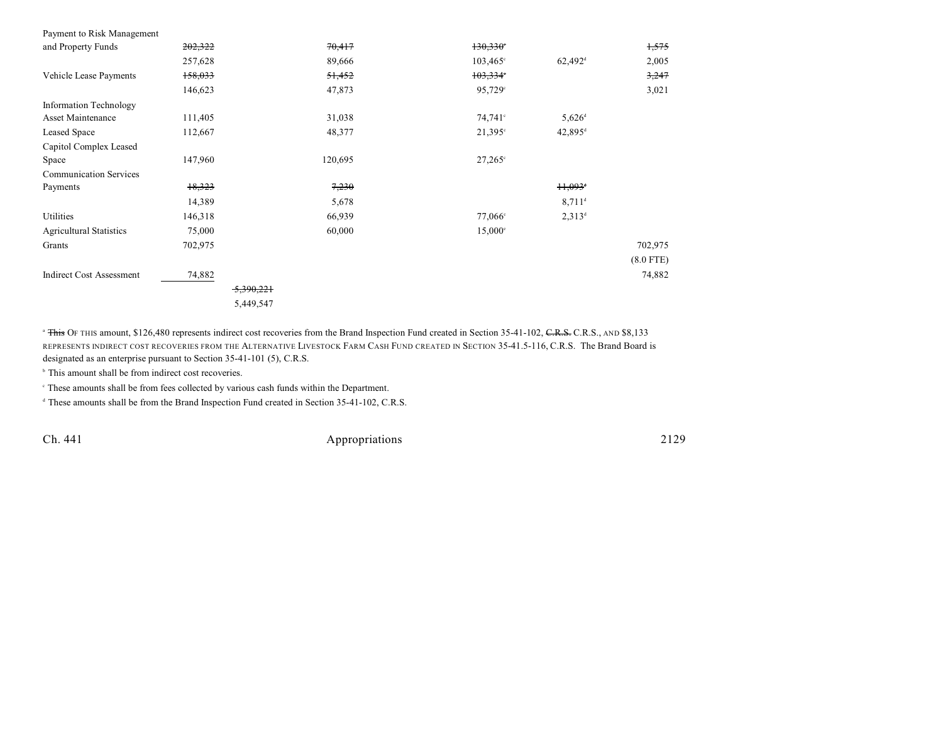| Payment to Risk Management      |              |         |                     |                       |             |
|---------------------------------|--------------|---------|---------------------|-----------------------|-------------|
| and Property Funds              | 202,322      | 70,417  | $130,330$ °         |                       | 1,575       |
|                                 | 257,628      | 89,666  | $103,465^{\circ}$   | $62,492$ <sup>d</sup> | 2,005       |
| Vehicle Lease Payments          | 158,033      | 51,452  | $103,334$ °         |                       | 3,247       |
|                                 | 146,623      | 47,873  | 95,729°             |                       | 3,021       |
| <b>Information Technology</b>   |              |         |                     |                       |             |
| Asset Maintenance               | 111,405      | 31,038  | 74,741 <sup>c</sup> | $5,626$ <sup>d</sup>  |             |
| Leased Space                    | 112,667      | 48,377  | $21,395^{\circ}$    | $42,895$ <sup>d</sup> |             |
| Capitol Complex Leased          |              |         |                     |                       |             |
| Space                           | 147,960      | 120,695 | $27,265^{\circ}$    |                       |             |
| <b>Communication Services</b>   |              |         |                     |                       |             |
| Payments                        | 18,323       | 7,230   |                     | $11,093$ <sup>+</sup> |             |
|                                 | 14,389       | 5,678   |                     | $8,711$ <sup>d</sup>  |             |
| Utilities                       | 146,318      | 66,939  | $77,066^{\circ}$    | $2,313^d$             |             |
| <b>Agricultural Statistics</b>  | 75,000       | 60,000  | $15,000^{\circ}$    |                       |             |
| Grants                          | 702,975      |         |                     |                       | 702,975     |
|                                 |              |         |                     |                       | $(8.0$ FTE) |
| <b>Indirect Cost Assessment</b> | 74,882       |         |                     |                       | 74,882      |
|                                 | $-5,390,221$ |         |                     |                       |             |
|                                 | 5,449,547    |         |                     |                       |             |

<sup>a</sup> This OF THIS amount, \$126,480 represents indirect cost recoveries from the Brand Inspection Fund created in Section 35-41-102, C.R.S., C.R.S., AND \$8,133 REPRESENTS INDIRECT COST RECOVERIES FROM THE ALTERNATIVE LIVESTOCK FARM CASH FUND CREATED IN SECTION 35-41.5-116, C.R.S. The Brand Board is designated as an enterprise pursuant to Section 35-41-101 (5), C.R.S.

 $\,^{\circ}$  This amount shall be from indirect cost recoveries.

These amounts shall be from fees collected by various cash funds within the Department. <sup>c</sup>

<sup>d</sup> These amounts shall be from the Brand Inspection Fund created in Section 35-41-102, C.R.S.

Ch. 441 Appropriations 2129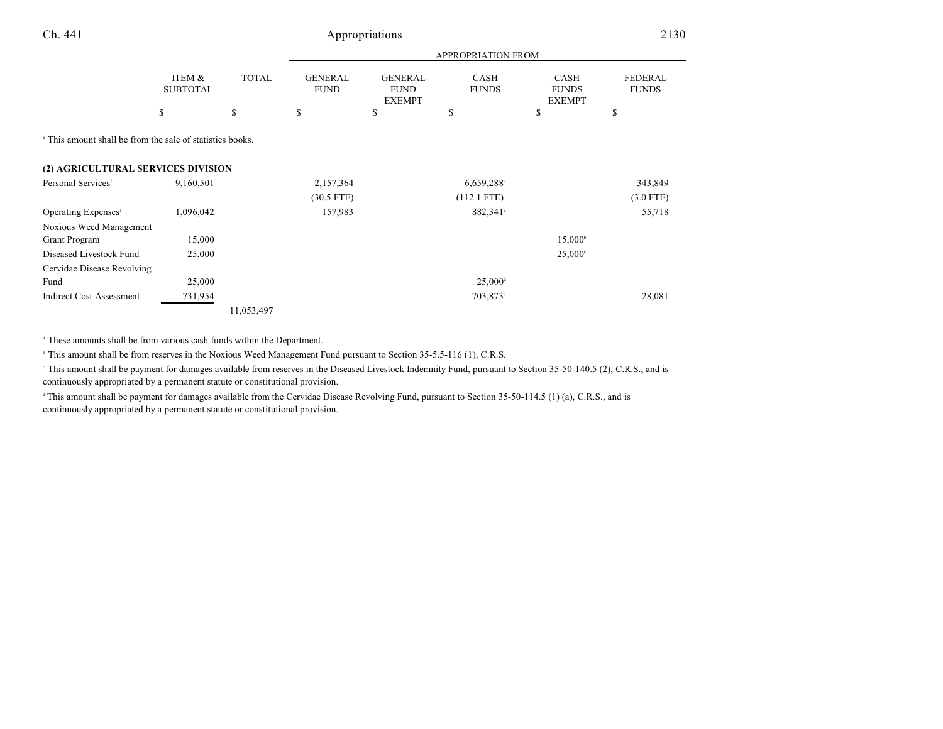# Ch. 441 Appropriations 2130

|                                                                      |                           |              | <b>APPROPRIATION FROM</b>     |                                                |                             |                                       |                                |
|----------------------------------------------------------------------|---------------------------|--------------|-------------------------------|------------------------------------------------|-----------------------------|---------------------------------------|--------------------------------|
|                                                                      | ITEM &<br><b>SUBTOTAL</b> | <b>TOTAL</b> | <b>GENERAL</b><br><b>FUND</b> | <b>GENERAL</b><br><b>FUND</b><br><b>EXEMPT</b> | <b>CASH</b><br><b>FUNDS</b> | CASH<br><b>FUNDS</b><br><b>EXEMPT</b> | <b>FEDERAL</b><br><b>FUNDS</b> |
|                                                                      | \$                        | \$           | \$                            | \$                                             | S                           | \$                                    | \$                             |
| <sup>e</sup> This amount shall be from the sale of statistics books. |                           |              |                               |                                                |                             |                                       |                                |
| (2) AGRICULTURAL SERVICES DIVISION                                   |                           |              |                               |                                                |                             |                                       |                                |
| Personal Services <sup>1</sup>                                       | 9,160,501                 |              | 2,157,364                     |                                                | $6,659,288$ <sup>a</sup>    |                                       | 343,849                        |
|                                                                      |                           |              | $(30.5$ FTE)                  |                                                | $(112.1$ FTE)               |                                       | $(3.0$ FTE)                    |
| Operating Expenses <sup>1</sup>                                      | 1,096,042                 |              | 157,983                       |                                                | 882,341 <sup>a</sup>        |                                       | 55,718                         |
| Noxious Weed Management                                              |                           |              |                               |                                                |                             |                                       |                                |
| <b>Grant Program</b>                                                 | 15,000                    |              |                               |                                                |                             | $15,000^{\circ}$                      |                                |
| Diseased Livestock Fund                                              | 25,000                    |              |                               |                                                |                             | $25,000^{\circ}$                      |                                |
| Cervidae Disease Revolving                                           |                           |              |                               |                                                |                             |                                       |                                |
| Fund                                                                 | 25,000                    |              |                               |                                                | $25,000$ <sup>d</sup>       |                                       |                                |
| <b>Indirect Cost Assessment</b>                                      | 731,954                   |              |                               |                                                | 703,873 <sup>a</sup>        |                                       | 28,081                         |
|                                                                      |                           | 11,053,497   |                               |                                                |                             |                                       |                                |

<sup>a</sup> These amounts shall be from various cash funds within the Department.

<sup>b</sup> This amount shall be from reserves in the Noxious Weed Management Fund pursuant to Section 35-5.5-116 (1), C.R.S.

This amount shall be payment for damages available from reserves in the Diseased Livestock Indemnity Fund, pursuant to Section 35-50-140.5 (2), C.R.S., and is continuously appropriated by a permanent statute or constitutional provision.

This amount shall be payment for damages available from the Cervidae Disease Revolving Fund, pursuant to Section  $35-50-114.5$  (1) (a), C.R.S., and is continuously appropriated by a permanent statute or constitutional provision.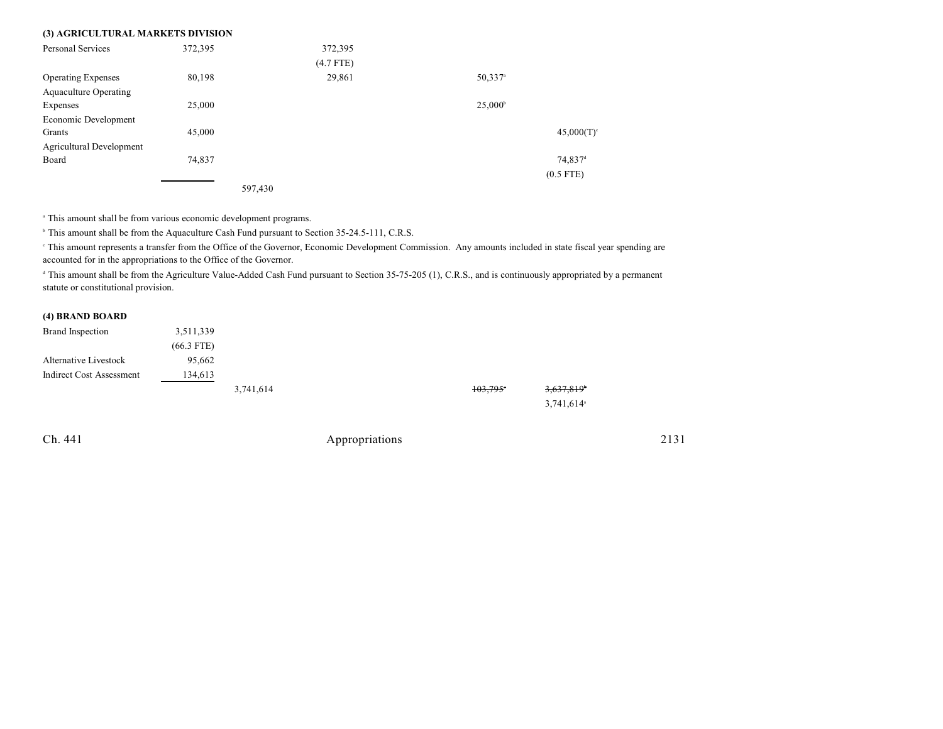| (3) AGRICULTURAL MARKETS DIVISION |         |             |                       |                     |
|-----------------------------------|---------|-------------|-----------------------|---------------------|
| Personal Services                 | 372,395 | 372,395     |                       |                     |
|                                   |         | $(4.7$ FTE) |                       |                     |
| <b>Operating Expenses</b>         | 80,198  | 29,861      | $50,337$ <sup>a</sup> |                     |
| <b>Aquaculture Operating</b>      |         |             |                       |                     |
| Expenses                          | 25,000  |             | $25,000^{\circ}$      |                     |
| Economic Development              |         |             |                       |                     |
| Grants                            | 45,000  |             |                       | 45,000(T)           |
| Agricultural Development          |         |             |                       |                     |
| Board                             | 74,837  |             |                       | 74,837 <sup>d</sup> |
|                                   |         |             |                       | $(0.5$ FTE)         |
|                                   | 597,430 |             |                       |                     |

<sup>a</sup> This amount shall be from various economic development programs.

<sup>b</sup> This amount shall be from the Aquaculture Cash Fund pursuant to Section 35-24.5-111, C.R.S.

 This amount represents a transfer from the Office of the Governor, Economic Development Commission. Any amounts included in state fiscal year spending are <sup>c</sup> accounted for in the appropriations to the Office of the Governor.

<sup>d</sup> This amount shall be from the Agriculture Value-Added Cash Fund pursuant to Section 35-75-205 (1), C.R.S., and is continuously appropriated by a permanent statute or constitutional provision.

#### **(4) BRAND BOARD**

| Brand Inspection         | 3,511,339    |           |
|--------------------------|--------------|-----------|
|                          | $(66.3$ FTE) |           |
| Alternative Livestock    | 95.662       |           |
| Indirect Cost Assessment | 134,613      |           |
|                          |              | 3 741 614 |

| 3,741,614 | 103,795° | 3,637,819 <sup>*</sup>   |
|-----------|----------|--------------------------|
|           |          | $3,741,614$ <sup>a</sup> |

Ch. 441 Appropriations 2131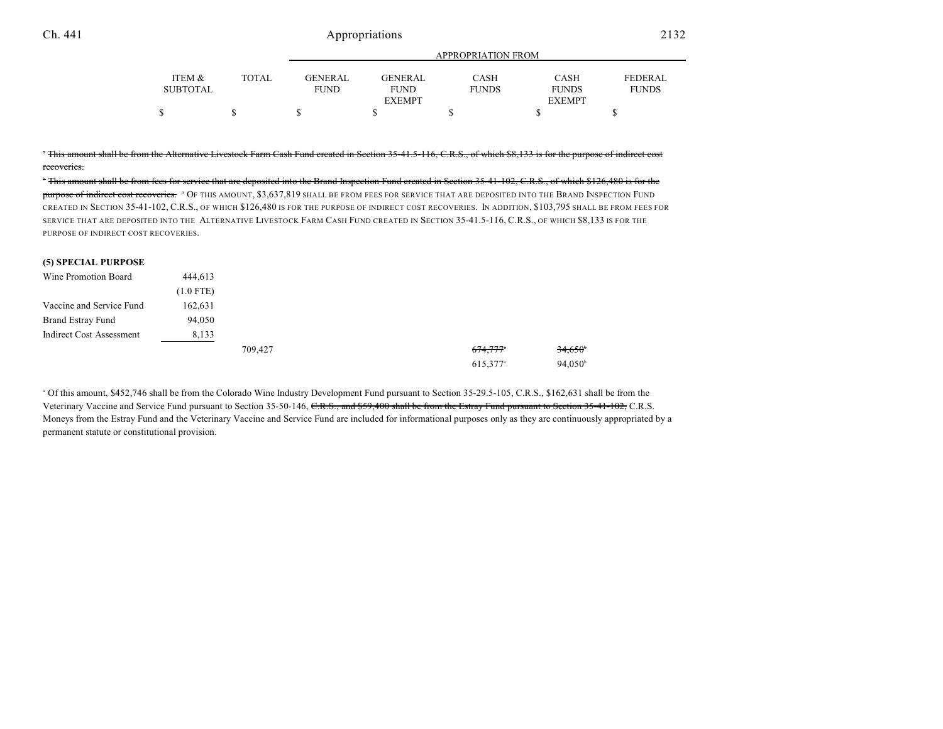### Ch. 441 Appropriations 2132

|          |              |                |                | <b>APPROPRIATION FROM</b> |               |                |
|----------|--------------|----------------|----------------|---------------------------|---------------|----------------|
| ITEM &   | <b>TOTAL</b> | <b>GENERAL</b> | <b>GENERAL</b> | <b>CASH</b>               | CASH          | <b>FEDERAL</b> |
| SUBTOTAL |              | <b>FUND</b>    | <b>FUND</b>    | <b>FUNDS</b>              | <b>FUNDS</b>  | <b>FUNDS</b>   |
|          |              |                | <b>EXEMPT</b>  |                           | <b>EXEMPT</b> |                |
|          |              |                |                |                           |               |                |

<sup>T</sup> This amount shall be from the Alternative Livestock Farm Cash Fund created in Section 35-41.5-116, C.R.S., of which \$8,133 is for the purpose of indirect cost recoveries.

 $^{\ast}$  This amount shall be from fees for service that are deposited into the Brand Inspection Fund created in Section 35-41-102, C.R.S., of which \$126,480 is for the purpose of indirect cost recoveries. <sup>a</sup> Of this amount, \$3,637,819 shall be from fees for service that are deposited into the Brand Inspection Fund CREATED IN SECTION 35-41-102, C.R.S., OF WHICH \$126,480 IS FOR THE PURPOSE OF INDIRECT COST RECOVERIES. IN ADDITION, \$103,795 SHALL BE FROM FEES FOR SERVICE THAT ARE DEPOSITED INTO THE ALTERNATIVE LIVESTOCK FARM CASH FUND CREATED IN SECTION 35-41.5-116, C.R.S., OF WHICH \$8,133 IS FOR THE PURPOSE OF INDIRECT COST RECOVERIES.

#### **(5) SPECIAL PURPOSE**

| Wine Promotion Board     | 444,613     |         |                      |                  |
|--------------------------|-------------|---------|----------------------|------------------|
|                          | $(1.0$ FTE) |         |                      |                  |
| Vaccine and Service Fund | 162,631     |         |                      |                  |
| <b>Brand Estray Fund</b> | 94,050      |         |                      |                  |
| Indirect Cost Assessment | 8,133       |         |                      |                  |
|                          |             | 709,427 | <del>674,777</del> * | 34,650           |
|                          |             |         | 615,377 <sup>a</sup> | $94.050^{\circ}$ |

<sup>a</sup> Of this amount, \$452,746 shall be from the Colorado Wine Industry Development Fund pursuant to Section 35-29.5-105, C.R.S., \$162,631 shall be from the Veterinary Vaccine and Service Fund pursuant to Section 35-50-146, C.R.S., and \$59,400 shall be from the Estray Fund pursuant to Section 35-41-102, C.R.S. Moneys from the Estray Fund and the Veterinary Vaccine and Service Fund are included for informational purposes only as they are continuously appropriated by a permanent statute or constitutional provision.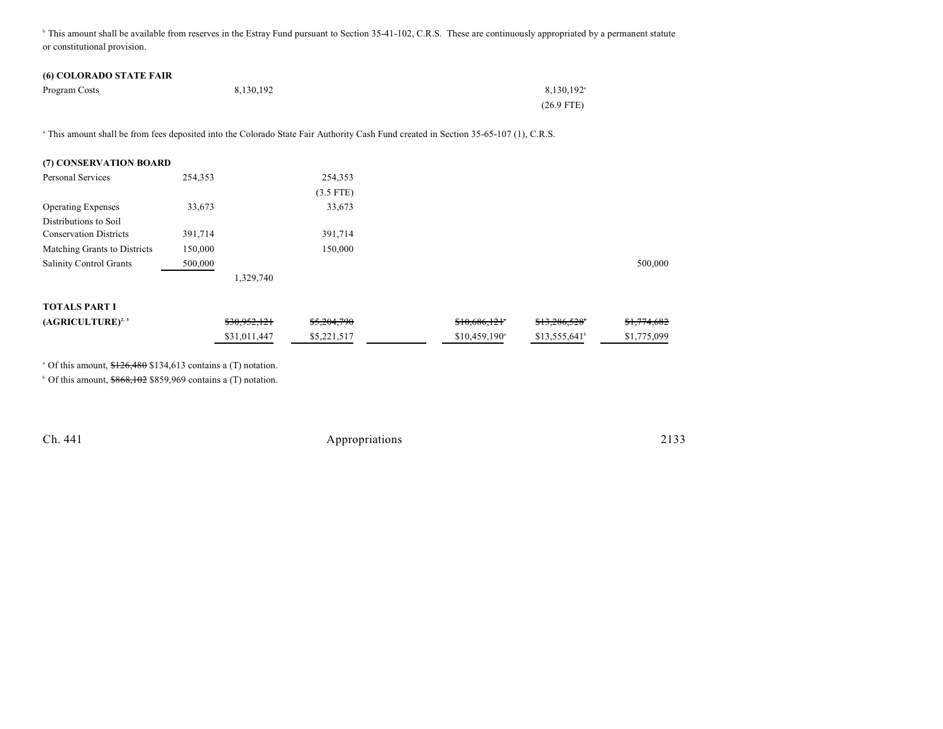<sup>h</sup> This amount shall be available from reserves in the Estray Fund pursuant to Section 35-41-102, C.R.S. These are continuously appropriated by a permanent statute or constitutional provision.

### **(6) COLORADO STATE FAIR**

| Program Costs | 8,130,192 | 8,130,192 <sup>a</sup> |
|---------------|-----------|------------------------|
|               |           | $(26.9$ FTE)           |

<sup>a</sup> This amount shall be from fees deposited into the Colorado State Fair Authority Cash Fund created in Section 35-65-107 (1), C.R.S.

| (7) CONSERVATION BOARD         |         |              |             |                            |                       |             |
|--------------------------------|---------|--------------|-------------|----------------------------|-----------------------|-------------|
| <b>Personal Services</b>       | 254,353 |              | 254,353     |                            |                       |             |
|                                |         |              | $(3.5$ FTE) |                            |                       |             |
| <b>Operating Expenses</b>      | 33,673  |              | 33,673      |                            |                       |             |
| Distributions to Soil          |         |              |             |                            |                       |             |
| <b>Conservation Districts</b>  | 391,714 |              | 391,714     |                            |                       |             |
| Matching Grants to Districts   | 150,000 |              | 150,000     |                            |                       |             |
| <b>Salinity Control Grants</b> | 500,000 |              |             |                            |                       | 500,000     |
|                                |         | 1,329,740    |             |                            |                       |             |
| <b>TOTALS PART I</b>           |         |              |             |                            |                       |             |
| $(AGRICULTURE)^{2,3}$          |         | \$30,952,121 | \$5,204,790 | \$10,686,121               | \$13,286,528          | \$1,774,682 |
|                                |         | \$31,011,447 | \$5,221,517 | $$10,459,190$ <sup>a</sup> | $$13,555,641^{\circ}$ | \$1,775,099 |

 $^{\circ}$  Of this amount,  $$126,480$  \$134,613 contains a (T) notation.

 $\degree$  Of this amount,  $$868,102$  \$859,969 contains a (T) notation.

Ch. 441 Appropriations 2133